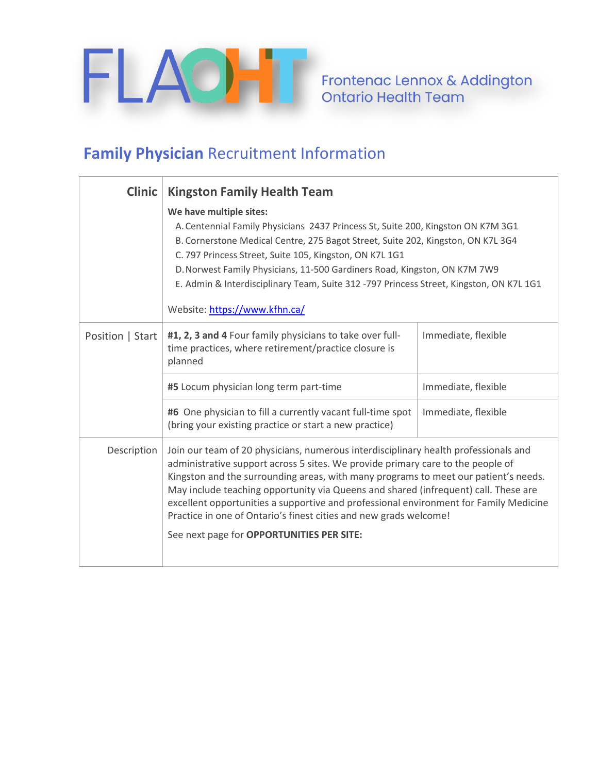

Frontenac Lennox & Addington<br>Ontario Health Team

## **Family Physician** Recruitment Information

| <b>Clinic</b>    | <b>Kingston Family Health Team</b>                                                                                                                                                                                                                                                                                                                                                                                                                                                                                                                              |                     |
|------------------|-----------------------------------------------------------------------------------------------------------------------------------------------------------------------------------------------------------------------------------------------------------------------------------------------------------------------------------------------------------------------------------------------------------------------------------------------------------------------------------------------------------------------------------------------------------------|---------------------|
|                  | We have multiple sites:<br>A. Centennial Family Physicians 2437 Princess St, Suite 200, Kingston ON K7M 3G1<br>B. Cornerstone Medical Centre, 275 Bagot Street, Suite 202, Kingston, ON K7L 3G4<br>C. 797 Princess Street, Suite 105, Kingston, ON K7L 1G1<br>D. Norwest Family Physicians, 11-500 Gardiners Road, Kingston, ON K7M 7W9<br>E. Admin & Interdisciplinary Team, Suite 312 -797 Princess Street, Kingston, ON K7L 1G1<br>Website: https://www.kfhn.ca/                                                                                             |                     |
| Position   Start | #1, 2, 3 and 4 Four family physicians to take over full-<br>time practices, where retirement/practice closure is<br>planned                                                                                                                                                                                                                                                                                                                                                                                                                                     | Immediate, flexible |
|                  | #5 Locum physician long term part-time                                                                                                                                                                                                                                                                                                                                                                                                                                                                                                                          | Immediate, flexible |
|                  | #6 One physician to fill a currently vacant full-time spot<br>(bring your existing practice or start a new practice)                                                                                                                                                                                                                                                                                                                                                                                                                                            | Immediate, flexible |
| Description      | Join our team of 20 physicians, numerous interdisciplinary health professionals and<br>administrative support across 5 sites. We provide primary care to the people of<br>Kingston and the surrounding areas, with many programs to meet our patient's needs.<br>May include teaching opportunity via Queens and shared (infrequent) call. These are<br>excellent opportunities a supportive and professional environment for Family Medicine<br>Practice in one of Ontario's finest cities and new grads welcome!<br>See next page for OPPORTUNITIES PER SITE: |                     |